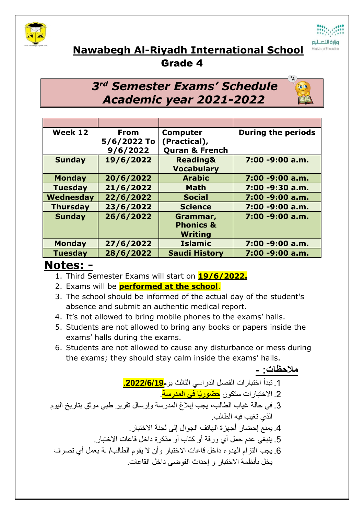



## **Nawabegh Al-Riyadh International School**

Grade 4

## *3 rd Semester Exams' Schedule Academic year 2021-2022*

| Week 12         | <b>From</b><br>5/6/2022 To<br>9/6/2022 | <b>Computer</b><br>(Practical),<br><b>Quran &amp; French</b> | <b>During the periods</b> |
|-----------------|----------------------------------------|--------------------------------------------------------------|---------------------------|
| <b>Sunday</b>   | 19/6/2022                              | <b>Reading&amp;</b><br><b>Vocabulary</b>                     | 7:00 -9:00 a.m.           |
| <b>Monday</b>   | 20/6/2022                              | <b>Arabic</b>                                                | 7:00 -9:00 a.m.           |
| <b>Tuesday</b>  | 21/6/2022                              | <b>Math</b>                                                  | 7:00 -9:30 a.m.           |
| Wednesday       | 22/6/2022                              | <b>Social</b>                                                | 7:00 -9:00 a.m.           |
| <b>Thursday</b> | 23/6/2022                              | <b>Science</b>                                               | 7:00 -9:00 a.m.           |
| <b>Sunday</b>   | 26/6/2022                              | Grammar,<br><b>Phonics &amp;</b><br><b>Writing</b>           | $7:00 - 9:00$ a.m.        |
| <b>Monday</b>   | 27/6/2022                              | <b>Islamic</b>                                               | 7:00 -9:00 a.m.           |
| <b>Tuesday</b>  | 28/6/2022                              | <b>Saudi History</b>                                         | 7:00 -9:00 a.m.           |

## **Notes: -**

- 1. Third Semester Exams will start on **19/6/2022.**
- 2. Exams will be **performed at the school**.
- 3. The school should be informed of the actual day of the student's absence and submit an authentic medical report.
- 4. It's not allowed to bring mobile phones to the exams' halls.
- 5. Students are not allowed to bring any books or papers inside the exams' halls during the exams.
- 6. Students are not allowed to cause any disturbance or mess during the exams; they should stay calm inside the exams' halls.

**مالحظات: -** .1 تبدأ اختبارات الفصل الدراسي الثالث يوم**.2022/6/19** .2 االختبارات ستكون **حضوريًا في المدرسة**. .3 في حالة غياب الطالب، يجب إبالغ المدرسة وإرسال تقرير طبي موثق بتاريخ اليوم الذي تغيب فيه الطالب. .4 يمنع إحضار أجهزة الهاتف الجوال إلى لجنة االختبار. .5 ينبغي عدم حمل أي ورقة أو كتاب أو مذكرة داخل قاعات االختبار. .6 يجب التزام الهدوء داخل قاعات االختبار وأن ال يقوم الطالب/ ـة بعمل أي تصرف يخل بأنظمة االختبار و إحداث الفوضى داخل القاعات.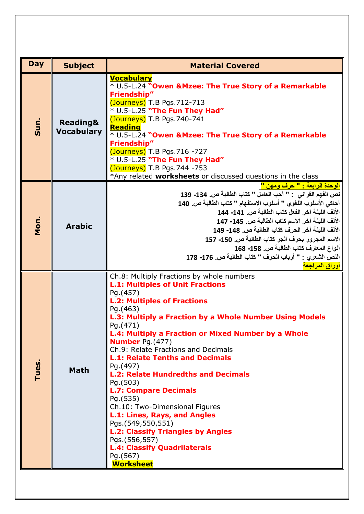| <b>Day</b> | <b>Subject</b>                           | <b>Material Covered</b>                                                                                                                                                                                                                                                                                                                                                                                                                                                                                                                                                                                                                                                                                                                                    |  |
|------------|------------------------------------------|------------------------------------------------------------------------------------------------------------------------------------------------------------------------------------------------------------------------------------------------------------------------------------------------------------------------------------------------------------------------------------------------------------------------------------------------------------------------------------------------------------------------------------------------------------------------------------------------------------------------------------------------------------------------------------------------------------------------------------------------------------|--|
| Sun.       | <b>Reading&amp;</b><br><b>Vocabulary</b> | <b>Vocabulary</b><br>* U.5-L.24 "Owen & Mzee: The True Story of a Remarkable<br><b>Friendship"</b><br>$\overline{(\text{Journeys})}$ T.B Pgs.712-713<br>* U.5-L.25 "The Fun They Had"<br>(Journeys) T.B Pgs.740-741<br><b>Reading</b><br>* U.5-L.24 "Owen & Mzee: The True Story of a Remarkable<br><b>Friendship"</b><br>(Journeys) T.B Pgs.716 -727<br>* U.5-L.25 "The Fun They Had"<br>(Journeys) T.B Pgs.744 -753<br>*Any related worksheets or discussed questions in the class                                                                                                                                                                                                                                                                       |  |
| Mon.       | <b>Arabic</b>                            | <mark>الوحدة الرابعة : " حرف ومهن "</mark><br>نص الفهم القرائي : " أحب العامل " كتاب الطالبة ص. 134- 139<br>أحاكي الأسلوب اللغوي " أسلوب الاستفهام " كتاب الطالبة ص. 140<br>الألف اللبِنة آخر الفعل كتاب الطالبة ص. 141- 144<br>الألف اللينة آخر الاسم كتاب الطالبة ص. 145- 147<br>الألف اللينة آخر الحرف كتاب الطالبة ص. 148- 149<br>الاسم المجرور بحرف الجر كتاب الطالبة ص. 150- 157<br>أنواع المعارف كتاب الطالبة ص. 158- 168<br>النص الشعري : " أرباب الحرف " كتاب الطالبة ص. 176- 178                                                                                                                                                                                                                                                                 |  |
| Tues.      | <b>Math</b>                              | أوراق المراجعة<br>Ch.8: Multiply Fractions by whole numbers<br><b>L.1: Multiples of Unit Fractions</b><br>Pg.(457)<br><b>L.2: Multiples of Fractions</b><br>Pg.(463)<br>L.3: Multiply a Fraction by a Whole Number Using Models<br>Pg.(471)<br>L.4: Multiply a Fraction or Mixed Number by a Whole<br><b>Number</b> Pg.(477)<br>Ch.9: Relate Fractions and Decimals<br><b>L.1: Relate Tenths and Decimals</b><br>Pg.(497)<br><b>L.2: Relate Hundredths and Decimals</b><br>Pg.(503)<br><b>L.7: Compare Decimals</b><br>Pg.(535)<br>Ch.10: Two-Dimensional Figures<br>L.1: Lines, Rays, and Angles<br>Pgs.(549,550,551)<br><b>L.2: Classify Triangles by Angles</b><br>Pgs.(556,557)<br><b>L.4: Classify Quadrilaterals</b><br>Pg.(567)<br><b>Worksheet</b> |  |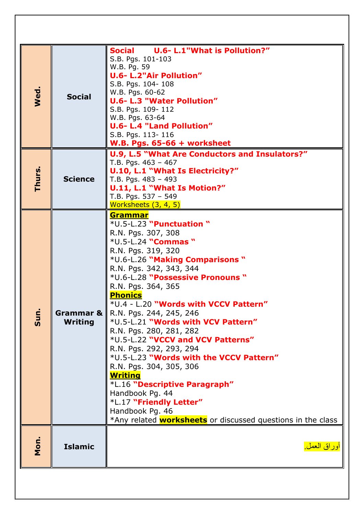| Wed    | <b>Social</b>                 | U.6- L.1"What is Pollution?"<br>Social<br>S.B. Pgs. 101-103<br>W.B. Pg. 59<br><b>U.6- L.2"Air Pollution"</b><br>S.B. Pgs. 104-108<br>W.B. Pgs. 60-62<br><b>U.6- L.3 "Water Pollution"</b><br>S.B. Pgs. 109-112<br>W.B. Pgs. 63-64<br><b>U.6- L.4 "Land Pollution"</b><br>S.B. Pgs. 113-116<br>W.B. Pgs. $65-66$ + worksheet                                                                                                                                                                                                                                                                                                                                                                                                 |
|--------|-------------------------------|-----------------------------------------------------------------------------------------------------------------------------------------------------------------------------------------------------------------------------------------------------------------------------------------------------------------------------------------------------------------------------------------------------------------------------------------------------------------------------------------------------------------------------------------------------------------------------------------------------------------------------------------------------------------------------------------------------------------------------|
| Thurs. | <b>Science</b>                | U.9, L.5 "What Are Conductors and Insulators?"<br>T.B. Pgs. $463 - 467$<br>U.10, L.1 "What Is Electricity?"<br>T.B. Pgs. $483 - 493$<br>U.11, L.1 "What Is Motion?"<br>T.B. Pgs. 537 - 549<br>Worksheets (3, 4, 5)                                                                                                                                                                                                                                                                                                                                                                                                                                                                                                          |
| Sun.   | Grammar & I<br><b>Writing</b> | <u>Grammar</u><br>*U.5-L.23 "Punctuation "<br>R.N. Pgs. 307, 308<br>*U.5-L.24 "Commas "<br>R.N. Pgs. 319, 320<br>*U.6-L.26 "Making Comparisons"<br>R.N. Pgs. 342, 343, 344<br>*U.6-L.28 "Possessive Pronouns "<br>R.N. Pgs. 364, 365<br><b>Phonics</b><br>*U.4 - L.20 "Words with VCCV Pattern"<br>R.N. Pgs. 244, 245, 246<br>*U.5-L.21 "Words with VCV Pattern"<br>R.N. Pgs. 280, 281, 282<br>*U.5-L.22 "VCCV and VCV Patterns"<br>R.N. Pgs. 292, 293, 294<br>*U.5-L.23 "Words with the VCCV Pattern"<br>R.N. Pgs. 304, 305, 306<br><u>Writing</u><br>*L.16 "Descriptive Paragraph"<br>Handbook Pg. 44<br>*L.17 "Friendly Letter"<br>Handbook Pg. 46<br>*Any related <b>worksheets</b> or discussed questions in the class |
| Mon    | <b>Islamic</b>                | <u>أوراق العمل.</u>                                                                                                                                                                                                                                                                                                                                                                                                                                                                                                                                                                                                                                                                                                         |
|        |                               |                                                                                                                                                                                                                                                                                                                                                                                                                                                                                                                                                                                                                                                                                                                             |